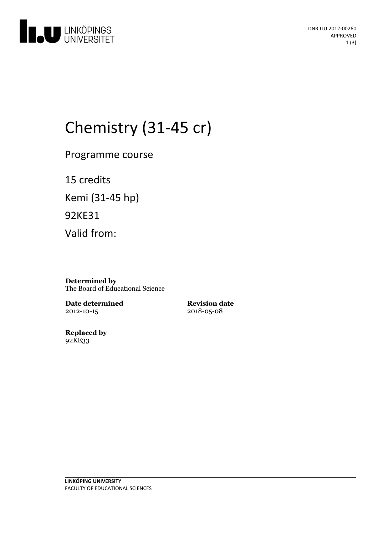

# Chemistry (31-45 cr)

Programme course

15 credits Kemi (31-45 hp) 92KE31 Valid from:

**Determined by** The Board of Educational Science

**Date determined** 2012-10-15

**Revision date** 2018-05-08

**Replaced by** 92KE33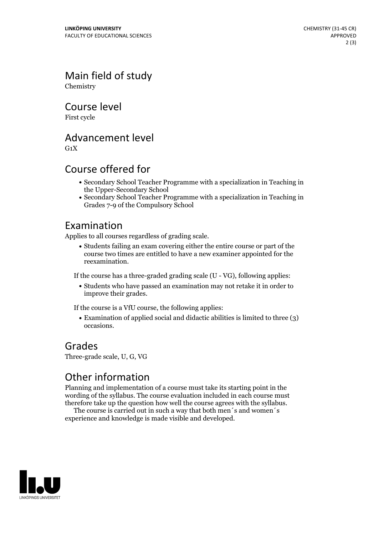Main field of study Chemistry

Course level

First cycle

Advancement level

 $G_1X$ 

#### Course offered for

- Secondary School Teacher Programme with a specialization in Teaching in the Upper-Secondary School
- Secondary School Teacher Programme with a specialization in Teaching in Grades 7-9 of the Compulsory School

#### Examination

Applies to all courses regardless of grading scale.

Students failing an exam covering either the entire course or part of the course two times are entitled to have a new examiner appointed for the reexamination.

If the course has a three-graded grading scale (U - VG), following applies:

Students who have passed an examination may not retake it in order to improve their grades.

If the course is a VfU course, the following applies:

Examination of applied social and didactic abilities is limited to three (3) occasions.

#### Grades

Three-grade scale, U, G, VG

### Other information

Planning and implementation of a course must take its starting point in the wording of the syllabus. The course evaluation included in each course must therefore take up the question how well the course agrees with the syllabus. The course is carried outin such <sup>a</sup> way that both men´s and women´s

experience and knowledge is made visible and developed.